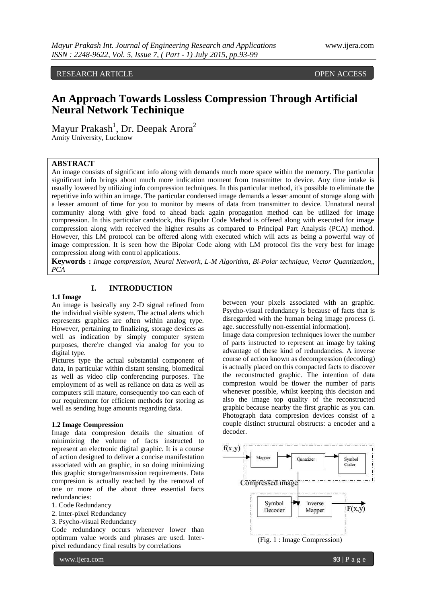RESEARCH ARTICLE **CONSERVERS** OPEN ACCESS **OPEN** 

# **An Approach Towards Lossless Compression Through Artificial Neural Network Techinique**

Mayur Prakash<sup>1</sup>, Dr. Deepak Arora<sup>2</sup> Amity University, Lucknow

### **ABSTRACT**

An image consists of significant info along with demands much more space within the memory. The particular significant info brings about much more indication moment from transmitter to device. Any time intake is usually lowered by utilizing info compression techniques. In this particular method, it's possible to eliminate the repetitive info within an image. The particular condensed image demands a lesser amount of storage along with a lesser amount of time for you to monitor by means of data from transmitter to device. Unnatural neural community along with give food to ahead back again propagation method can be utilized for image compression. In this particular cardstock, this Bipolar Code Method is offered along with executed for image compression along with received the higher results as compared to Principal Part Analysis (PCA) method. However, this LM protocol can be offered along with executed which will acts as being a powerful way of image compression. It is seen how the Bipolar Code along with LM protocol fits the very best for image compression along with control applications.

**Keywords :** *Image compression, Neural Network, L-M Algorithm, Bi-Polar technique, Vector Quantization,, PCA*

## **I. INTRODUCTION**

### **1.1 Image**

An image is basically any 2-D signal refined from the individual visible system. The actual alerts which represents graphics are often within analog type. However, pertaining to finalizing, storage devices as well as indication by simply computer system purposes, there're changed via analog for you to digital type.

Pictures type the actual substantial component of data, in particular within distant sensing, biomedical as well as video clip conferencing purposes. The employment of as well as reliance on data as well as computers still mature, consequently too can each of our requirement for efficient methods for storing as well as sending huge amounts regarding data.

#### **1.2 Image Compression**

Image data compresion details the situation of minimizing the volume of facts instructed to represent an electronic digital graphic. It is a course of action designed to deliver a concise manifestation associated with an graphic, in so doing minimizing this graphic storage/transmission requirements. Data compresion is actually reached by the removal of one or more of the about three essential facts redundancies:

- 1. Code Redundancy
- 2. Inter-pixel Redundancy
- 3. Psycho-visual Redundancy

Code redundancy occurs whenever lower than optimum value words and phrases are used. Interpixel redundancy final results by correlations

www.ijera.com **93** | P a g e

between your pixels associated with an graphic. Psycho-visual redundancy is because of facts that is disregarded with the human being image process (i. age. successfully non-essential information).

Image data compresion techniques lower the number of parts instructed to represent an image by taking advantage of these kind of redundancies. A inverse course of action known as decompression (decoding) is actually placed on this compacted facts to discover the reconstructed graphic. The intention of data compresion would be tlower the number of parts whenever possible, whilst keeping this decision and also the image top quality of the reconstructed graphic because nearby the first graphic as you can. Photograph data compresion devices consist of a couple distinct structural obstructs: a encoder and a decoder.

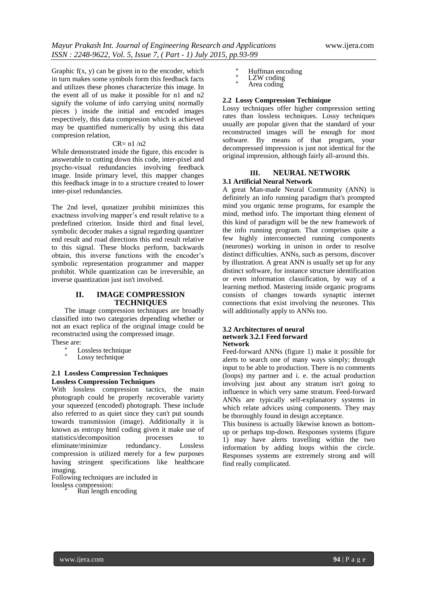Graphic  $f(x, y)$  can be given in to the encoder, which in turn makes some symbols form this feedback facts and utilizes these phones characterize this image. In the event all of us make it possible for n1 and n2 signify the volume of info carrying units( normally pieces ) inside the initial and encoded images respectively, this data compresion which is achieved may be quantified numerically by using this data compresion relation,

## CR= n1 /n2

While demonstrated inside the figure, this encoder is answerable to cutting down this code, inter-pixel and psycho-visual redundancies involving feedback image. Inside primary level, this mapper changes this feedback image in to a structure created to lower inter-pixel redundancies.

The 2nd level, qunatizer prohibit minimizes this exactness involving mapper's end result relative to a predefined criterion. Inside third and final level, symbolic decoder makes a signal regarding quantizer end result and road directions this end result relative to this signal. These blocks perform, backwards obtain, this inverse functions with the encoder's symbolic representation programmer and mapper prohibit. While quantization can be irreversible, an inverse quantization just isn't involved.

### **II. IMAGE COMPRESSION TECHNIQUES**

The image compression techniques are broadly classified into two categories depending whether or not an exact replica of the original image could be reconstructed using the compressed image. These are:

- $\sum_{n=1}^{\infty}$  Lossless technique
- Lossy technique

#### **2.1 Lossless Compression Techniques Lossless Compression Techniques**

With lossless compression tactics, the main photograph could be properly recoverable variety your squeezed (encoded) photograph. These include also referred to as quiet since they can't put sounds towards transmission (image). Additionally it is known as entropy html coding given it make use of statistics/decomposition processes to eliminate/minimize redundancy. Lossless compression is utilized merely for a few purposes having stringent specifications like healthcare imaging.

Following techniques are included in lossless compression:

Run length encoding

- $\sum_{n=1}^{\infty}$  Huffman encoding
- $\sum_{\lambda}^{\infty}$  LZW coding
- Area coding

#### **2.2 Lossy Compression Techinique**

Lossy techniques offer higher compression setting rates than lossless techniques. Lossy techniques usually are popular given that the standard of your reconstructed images will be enough for most software. By means of that program, your decompressed impression is just not identical for the original impression, although fairly all-around this.

## **III. NEURAL NETWORK**

## **3.1 Artificial Neural Network**

A great Man-made Neural Community (ANN) is definitely an info running paradigm that's prompted mind you organic tense programs, for example the mind, method info. The important thing element of this kind of paradigm will be the new framework of the info running program. That comprises quite a few highly interconnected running components (neurones) working in unison in order to resolve distinct difficulties. ANNs, such as persons, discover by illustration. A great ANN is usually set up for any distinct software, for instance structure identification or even information classification, by way of a learning method. Mastering inside organic programs consists of changes towards synaptic internet connections that exist involving the neurones. This will additionally apply to ANNs too.

#### **3.2 Architectures of neural network 3.2.1 Feed forward Network**

Feed-forward ANNs (figure 1) make it possible for alerts to search one of many ways simply; through input to be able to production. There is no comments (loops) my partner and i. e. the actual production involving just about any stratum isn't going to influence in which very same stratum. Feed-forward ANNs are typically self-explanatory systems in which relate advices using components. They may be thoroughly found in design acceptance.

This business is actually likewise known as bottomup or perhaps top-down. Responses systems (figure 1) may have alerts travelling within the two information by adding loops within the circle. Responses systems are extremely strong and will find really complicated.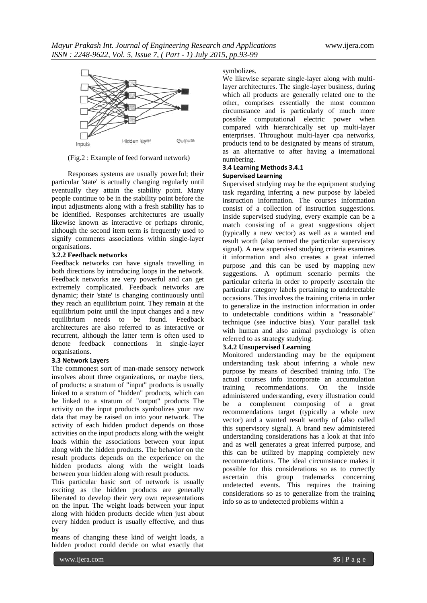

(Fig.2 : Example of feed forward network)

Responses systems are usually powerful; their particular 'state' is actually changing regularly until eventually they attain the stability point. Many people continue to be in the stability point before the input adjustments along with a fresh stability has to be identified. Responses architectures are usually likewise known as interactive or perhaps chronic, although the second item term is frequently used to signify comments associations within single-layer organisations.

#### **3.2.2 Feedback networks**

Feedback networks can have signals travelling in both directions by introducing loops in the network. Feedback networks are very powerful and can get extremely complicated. Feedback networks are dynamic; their 'state' is changing continuously until they reach an equilibrium point. They remain at the equilibrium point until the input changes and a new equilibrium needs to be found. Feedback architectures are also referred to as interactive or recurrent, although the latter term is often used to denote feedback connections in single-layer organisations.

#### **3.3 Network Layers**

The commonest sort of man-made sensory network involves about three organizations, or maybe tiers, of products: a stratum of "input" products is usually linked to a stratum of "hidden" products, which can be linked to a stratum of "output" products The activity on the input products symbolizes your raw data that may be raised on into your network. The activity of each hidden product depends on those activities on the input products along with the weight loads within the associations between your input along with the hidden products. The behavior on the result products depends on the experience on the hidden products along with the weight loads between your hidden along with result products.

This particular basic sort of network is usually exciting as the hidden products are generally liberated to develop their very own representations on the input. The weight loads between your input along with hidden products decide when just about every hidden product is usually effective, and thus by

means of changing these kind of weight loads, a hidden product could decide on what exactly that

#### symbolizes.

We likewise separate single-layer along with multilayer architectures. The single-layer business, during which all products are generally related one to the other, comprises essentially the most common circumstance and is particularly of much more possible computational electric power when compared with hierarchically set up multi-layer enterprises. Throughout multi-layer cpa networks, products tend to be designated by means of stratum, as an alternative to after having a international numbering.

### **3.4 Learning Methods 3.4.1 Supervised Learning**

Supervised studying may be the equipment studying task regarding inferring a new purpose by labeled instruction information. The courses information consist of a collection of instruction suggestions. Inside supervised studying, every example can be a match consisting of a great suggestions object (typically a new vector) as well as a wanted end result worth (also termed the particular supervisory signal). A new supervised studying criteria examines it information and also creates a great inferred purpose ,and this can be used by mapping new suggestions. A optimum scenario permits the particular criteria in order to properly ascertain the particular category labels pertaining to undetectable occasions. This involves the training criteria in order to generalize in the instruction information in order to undetectable conditions within a "reasonable" technique (see inductive bias). Your parallel task with human and also animal psychology is often referred to as strategy studying.

## **3.4.2 Unsupervised Learning**

Monitored understanding may be the equipment understanding task about inferring a whole new purpose by means of described training info. The actual courses info incorporate an accumulation training recommendations. On the inside administered understanding, every illustration could be a complement composing of a great recommendations target (typically a whole new vector) and a wanted result worthy of (also called this supervisory signal). A brand new administered understanding considerations has a look at that info and as well generates a great inferred purpose, and this can be utilized by mapping completely new recommendations. The ideal circumstance makes it possible for this considerations so as to correctly ascertain this group trademarks concerning undetected events. This requires the training considerations so as to generalize from the training info so as to undetected problems within a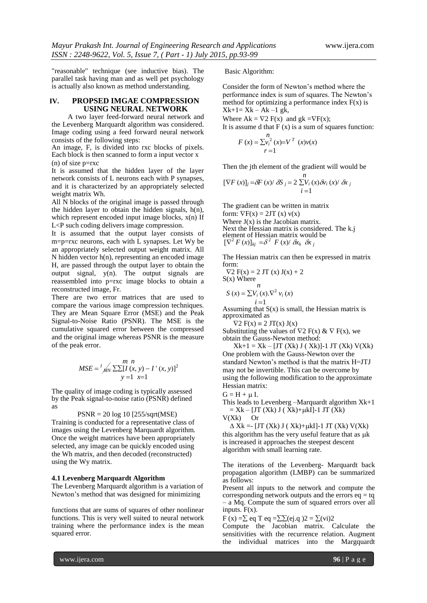"reasonable" technique (see inductive bias). The parallel task having man and as well pet psychology is actually also known as method understanding.

#### **IV. PROPSED IMGAE COMPRESSION USING NEURAL NETWORK**

A two layer feed-forward neural network and the Levenberg Marquardt algorithm was considered. Image coding using a feed forward neural network consists of the following steps:

An image, F, is divided into rxc blocks of pixels. Each block is then scanned to form a input vector x  $(n)$  of size  $p=rxc$ 

It is assumed that the hidden layer of the layer network consists of L neurons each with P synapses, and it is characterized by an appropriately selected weight matrix Wh.

All N blocks of the original image is passed through the hidden layer to obtain the hidden signals,  $h(n)$ , which represent encoded input image blocks,  $x(n)$  If L<P such coding delivers image compression.

It is assumed that the output layer consists of m=p=rxc neurons, each with L synapses. Let Wy be an appropriately selected output weight matrix. All N hidden vector h(n), representing an encoded image H, are passed through the output layer to obtain the output signal, y(n). The output signals are reassembled into p=rxc image blocks to obtain a reconstructed image, Fr.

There are two error matrices that are used to compare the various image compression techniques. They are Mean Square Error (MSE) and the Peak Signal-to-Noise Ratio (PSNR). The MSE is the cumulative squared error between the compressed and the original image whereas PSNR is the measure of the peak error.

$$
MSE = \frac{1}{MN} \frac{m n}{\sum \sum [I(x, y) - I'(x, y)]^2}
$$
  
y = 1 x=1

The quality of image coding is typically assessed by the Peak signal-to-noise ratio (PSNR) defined as

PSNR = 20 log 10 [255/sqrt(MSE)

Training is conducted for a representative class of images using the Levenberg Marquardt algorithm. Once the weight matrices have been appropriately selected, any image can be quickly encoded using the Wh matrix, and then decoded (reconstructed) using the Wy matrix.

#### **4.1 Levenberg Marquardt Algorithm**

The Levenberg Marquardt algorithm is a variation of Newton's method that was designed for minimizing

functions that are sums of squares of other nonlinear functions. This is very well suited to neural network training where the performance index is the mean squared error.

Basic Algorithm:

Consider the form of Newton's method where the performance index is sum of squares. The Newton's method for optimizing a performance index  $F(x)$  is  $Xk+1= Xk - Ak -1 gk$ ,

Where  $Ak = \nabla 2 F(x)$  and  $gk = \nabla F(x)$ ;

It is assume d that  $F(x)$  is a sum of squares function: *n*

$$
F(x) = \sum_{r=1}^{n} y_i^2 (x) = V^T (x) v(x)
$$

Then the jth element of the gradient will would be

$$
[\nabla F(x)]_j = \delta F(x) / \delta S_j = 2 \sum_{i=1}^n V_i(x) \delta v_i(x) / \delta x_j
$$

The gradient can be written in matrix form:  $\nabla F(x) = 2JT(x) v(x)$ Where  $J(x)$  is the Jacobian matrix. Next the Hessian matrix is considered. The k.j element of Hessian matrix would be  $[\nabla^2 F(x)]_{kj} = \delta^2 F(x) / \delta x_k \delta x_j$ 

The Hessian matrix can then be expressed in matrix form:

$$
\nabla 2 \text{ F(x)} = 2 \text{ JT (x) J(x)} + 2
$$
  
\nS(x) Where  
\n $n$ 

$$
S(x) = \sum V_i(x). \nabla^2 v_i(x)
$$
  
  $i = 1$ 

Assuming that  $S(x)$  is small, the Hessian matrix is approximated as

 $\nabla 2$  F(x)  $\equiv 2$  JT(x) J(x)

Substituting the values of  $\nabla 2 F(x) \& \nabla F(x)$ , we obtain the Gauss-Newton method:

 $Xk+1 = Xk - [JT (Xk) J (Xk)]-1 JT (Xk) V(Xk)$ One problem with the Gauss-Newton over the standard Newton's method is that the matrix H=JTJ may not be invertible. This can be overcome by using the following modification to the approximate Hessian matrix:

$$
G=H+\mu\,I.
$$

This leads to Levenberg –Marquardt algorithm Xk+1  $=$  Xk – [JT (Xk) J ( Xk)+ $\mu$ kI]-1 JT (Xk)

 $V(Xk)$  Or

 $\Delta$  Xk = [JT (Xk) J (Xk)+ $\mu$ kI]-1 JT (Xk) V(Xk) this algorithm has the very useful feature that as  $\mu$ k is increased it approaches the steepest descent algorithm with small learning rate.

The iterations of the Levenberg- Marquardt back propagation algorithm (LMBP) can be summarized as follows:

Present all inputs to the network and compute the corresponding network outputs and the errors  $eq = tq$ – a Mq. Compute the sum of squared errors over all inputs.  $F(x)$ .

F (x) =  $\sum$  eq T eq =  $\sum$  $\sum$ (ej.q )2 =  $\sum$ (vi)2

Compute the Jacobian matrix. Calculate the sensitivities with the recurrence relation. Augment the individual matrices into the Margquardt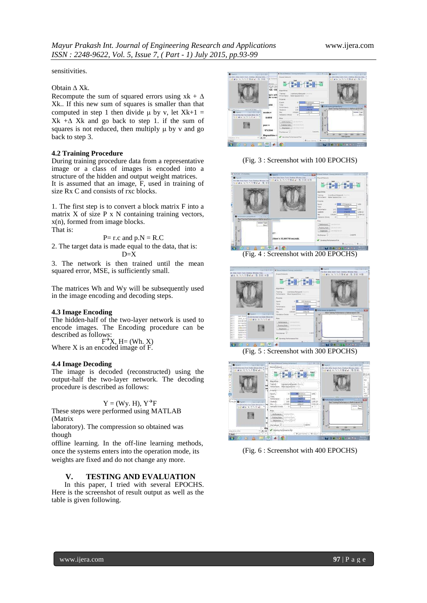sensitivities.

#### Obtain  $\triangle$  Xk.

Recompute the sum of squared errors using  $x k + \Delta$ Xk.. If this new sum of squares is smaller than that computed in step 1 then divide  $\mu$  by v, let Xk+1 =  $Xk + \Delta Xk$  and go back to step 1. if the sum of squares is not reduced, then multiply  $\mu$  by v and go back to step 3.

### **4.2 Training Procedure**

During training procedure data from a representative image or a class of images is encoded into a structure of the hidden and output weight matrices. It is assumed that an image, F, used in training of size Rx C and consists of rxc blocks.

1. The first step is to convert a block matrix F into a matrix  $X$  of size  $P \times N$  containing training vectors, x(n), formed from image blocks. That is:

$$
P = r.c
$$
 and  $p.N = R.C$ 

2. The target data is made equal to the data, that is:  $D=X$ 

3. The network is then trained until the mean squared error, MSE, is sufficiently small.

The matrices Wh and Wy will be subsequently used in the image encoding and decoding steps.

#### **4.3 Image Encoding**

The hidden-half of the two-layer network is used to encode images. The Encoding procedure can be described as follows:

 $F^{\rightarrow}X$ , H = (Wh. X) Where X is an encoded image of F.

#### **4.4 Image Decoding**

The image is decoded (reconstructed) using the output-half the two-layer network. The decoding procedure is described as follows:

### $Y = (Wy. H), Y^{\rightarrow}F$

These steps were performed using MATLAB (Matrix

laboratory). The compression so obtained was though

offline learning. In the off-line learning methods, once the systems enters into the operation mode, its weights are fixed and do not change any more.

#### **V. TESTING AND EVALUATION**

In this paper, I tried with several EPOCHS. Here is the screenshot of result output as well as the table is given following.



(Fig. 3 : Screenshot with 100 EPOCHS)



(Fig. 4 : Screenshot with 200 EPOCHS)



(Fig. 5 : Screenshot with 300 EPOCHS)



(Fig. 6 : Screenshot with 400 EPOCHS)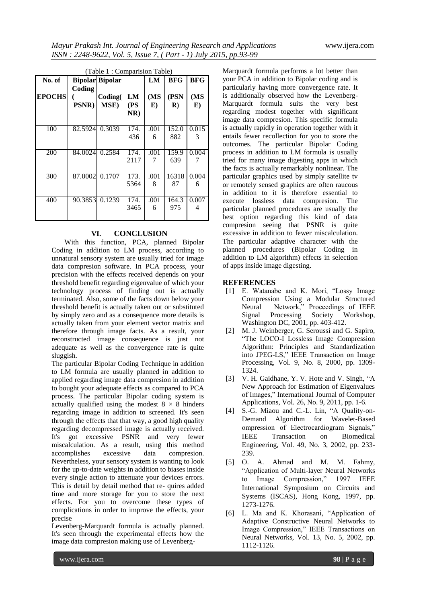| (Table 1: Comparision Table) |                         |                        |                  |           |                 |            |
|------------------------------|-------------------------|------------------------|------------------|-----------|-----------------|------------|
| No. of                       |                         | <b>Bipolar Bipolar</b> |                  | LM        | <b>BFG</b>      | <b>BFG</b> |
| <b>EPOCHS</b>                | Coding<br><b>PSNR</b> ) | Coding(<br>MSE)        | LM<br>(PS<br>NR) | (MS<br>E) | (PSN<br>$\bf R$ | (MS<br>E)  |
| 100                          | 82.5924                 | 0.3039                 | 174.<br>436      | .001<br>6 | 152.0<br>882    | 0.015<br>3 |
| 200                          | 84.0024                 | 0.2584                 | 174.<br>2117     | .001<br>7 | 159.9<br>639    | 0.004      |
| 300                          | 87.0002                 | 0.1707                 | 173.<br>5364     | .001<br>8 | 16318<br>87     | 0.004<br>6 |
| 400                          | 90.3853                 | 0.1239                 | 174.<br>3465     | .001<br>6 | 164.3<br>975    | 0.007<br>4 |

## **VI. CONCLUSION**

With this function, PCA, planned Bipolar Coding in addition to LM process, according to unnatural sensory system are usually tried for image data compresion software. In PCA process, your precision with the effects received depends on your threshold benefit regarding eigenvalue of which your technology process of finding out is actually terminated. Also, some of the facts down below your threshold benefit is actually taken out or substituted by simply zero and as a consequence more details is actually taken from your element vector matrix and therefore through image facts. As a result, your reconstructed image consequence is just not adequate as well as the convergence rate is quite sluggish.

The particular Bipolar Coding Technique in addition to LM formula are usually planned in addition to applied regarding image data compresion in addition to bought your adequate effects as compared to PCA process. The particular Bipolar coding system is actually qualified using the modest  $8 \times 8$  hinders regarding image in addition to screened. It's seen through the effects that that way, a good high quality regarding decompressed image is actually received. It's got excessive PSNR and very fewer miscalculation. As a result, using this method accomplishes excessive data compresion. Nevertheless, your sensory system is wanting to look for the up-to-date weights in addition to biases inside every single action to attenuate your devices errors. This is detail by detail method that re- quires added time and more storage for you to store the next effects. For you to overcome these types of complications in order to improve the effects, your precise

Levenberg-Marquardt formula is actually planned. It's seen through the experimental effects how the image data compresion making use of LevenbergMarquardt formula performs a lot better than your PCA in addition to Bipolar coding and is particularly having more convergence rate. It is additionally observed how the Levenberg-Marquardt formula suits the very best regarding modest together with significant image data compresion. This specific formula is actually rapidly in operation together with it entails fewer recollection for you to store the outcomes. The particular Bipolar Coding process in addition to LM formula is usually tried for many image digesting apps in which the facts is actually remarkably nonlinear. The particular graphics used by simply satellite tv or remotely sensed graphics are often raucous in addition to it is therefore essential to execute lossless data compresion. The particular planned procedures are usually the best option regarding this kind of data compresion seeing that PSNR is quite excessive in addition to fewer miscalculation. The particular adaptive character with the planned procedures (Bipolar Coding in addition to LM algorithm) effects in selection of apps inside image digesting.

### **REFERENCES**

- [1] E. Watanabe and K. Mori, "Lossy Image Compression Using a Modular Structured Neural Network," Proceedings of IEEE Signal Processing Society Workshop, Washington DC, 2001, pp. 403-412.
- [2] M. J. Weinberger, G. Seroussi and G. Sapiro, "The LOCO-I Lossless Image Compression Algorithm: Principles and Standardization into JPEG-LS," IEEE Transaction on Image Processing, Vol. 9, No. 8, 2000, pp. 1309- 1324.
- [3] V. H. Gaidhane, Y. V. Hote and V. Singh, "A New Approach for Estimation of Eigenvalues of Images," International Journal of Computer Applications, Vol. 26, No. 9, 2011, pp. 1-6.
- [4] S.-G. Miaou and C.-L. Lin, "A Quality-on-Demand Algorithm for Wavelet-Based ompression of Electrocardiogram Signals," IEEE Transaction on Biomedical Engineering, Vol. 49, No. 3, 2002, pp. 233- 239.
- [5] O. A. Ahmad and M. M. Fahmy, "Application of Multi-layer Neural Networks to Image Compression," 1997 IEEE International Symposium on Circuits and Systems (ISCAS), Hong Kong, 1997, pp. 1273-1276.
- [6] L. Ma and K. Khorasani, "Application of Adaptive Constructive Neural Networks to Image Compression," IEEE Transactions on Neural Networks, Vol. 13, No. 5, 2002, pp. 1112-1126.